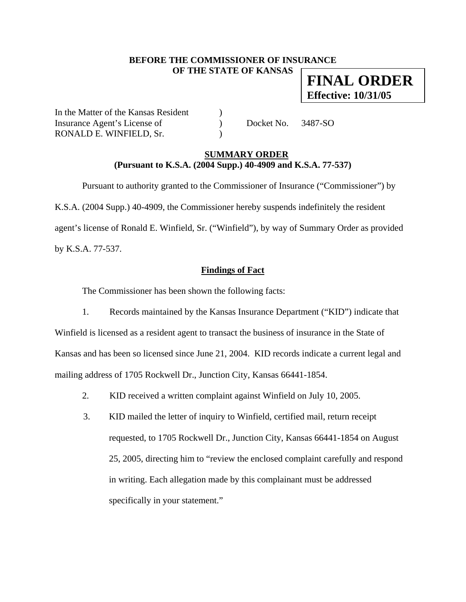### **BEFORE THE COMMISSIONER OF INSURANCE OF THE STATE OF KANSAS**

**FINAL ORDER Effective: 10/31/05**

In the Matter of the Kansas Resident ) Insurance Agent's License of  $Docket No. 3487-SO$ RONALD E. WINFIELD, Sr.

### **SUMMARY ORDER (Pursuant to K.S.A. (2004 Supp.) 40-4909 and K.S.A. 77-537)**

 Pursuant to authority granted to the Commissioner of Insurance ("Commissioner") by K.S.A. (2004 Supp.) 40-4909, the Commissioner hereby suspends indefinitely the resident agent's license of Ronald E. Winfield, Sr. ("Winfield"), by way of Summary Order as provided by K.S.A. 77-537.

## **Findings of Fact**

The Commissioner has been shown the following facts:

- 1. Records maintained by the Kansas Insurance Department ("KID") indicate that Winfield is licensed as a resident agent to transact the business of insurance in the State of Kansas and has been so licensed since June 21, 2004. KID records indicate a current legal and mailing address of 1705 Rockwell Dr., Junction City, Kansas 66441-1854.
	- 2. KID received a written complaint against Winfield on July 10, 2005.
	- 3. KID mailed the letter of inquiry to Winfield, certified mail, return receipt requested, to 1705 Rockwell Dr., Junction City, Kansas 66441-1854 on August 25, 2005, directing him to "review the enclosed complaint carefully and respond in writing. Each allegation made by this complainant must be addressed specifically in your statement."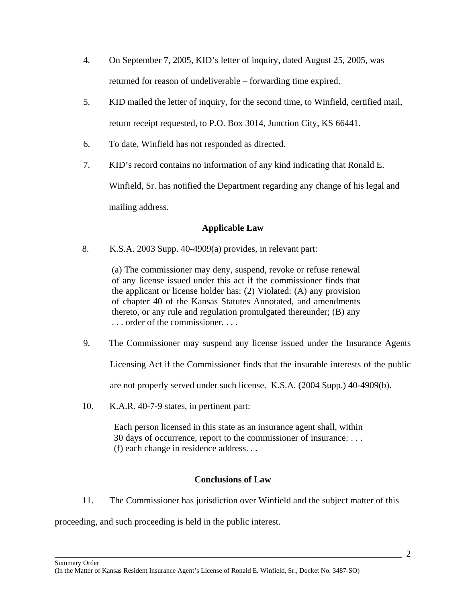- 4. On September 7, 2005, KID's letter of inquiry, dated August 25, 2005, was returned for reason of undeliverable – forwarding time expired.
- 5. KID mailed the letter of inquiry, for the second time, to Winfield, certified mail, return receipt requested, to P.O. Box 3014, Junction City, KS 66441.
- 6. To date, Winfield has not responded as directed.
- 7. KID's record contains no information of any kind indicating that Ronald E.

Winfield, Sr. has notified the Department regarding any change of his legal and mailing address.

# **Applicable Law**

8. K.S.A. 2003 Supp. 40-4909(a) provides, in relevant part:

(a) The commissioner may deny, suspend, revoke or refuse renewal of any license issued under this act if the commissioner finds that the applicant or license holder has: (2) Violated: (A) any provision of chapter 40 of the Kansas Statutes Annotated, and amendments thereto, or any rule and regulation promulgated thereunder; (B) any . . . order of the commissioner. . . .

9. The Commissioner may suspend any license issued under the Insurance Agents

Licensing Act if the Commissioner finds that the insurable interests of the public

are not properly served under such license. K.S.A. (2004 Supp.) 40-4909(b).

10. K.A.R. 40-7-9 states, in pertinent part:

Each person licensed in this state as an insurance agent shall, within 30 days of occurrence, report to the commissioner of insurance: . . . (f) each change in residence address. . .

#### **Conclusions of Law**

\_\_\_\_\_\_\_\_\_\_\_\_\_\_\_\_\_\_\_\_\_\_\_\_\_\_\_\_\_\_\_\_\_\_\_\_\_\_\_\_\_\_\_\_\_\_\_\_\_\_\_\_\_\_\_\_\_\_\_\_\_\_\_\_\_\_\_\_\_\_\_\_\_\_\_\_

11. The Commissioner has jurisdiction over Winfield and the subject matter of this

proceeding, and such proceeding is held in the public interest.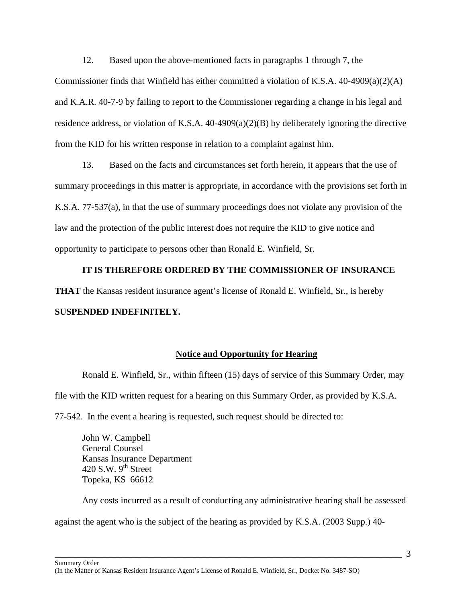12. Based upon the above-mentioned facts in paragraphs 1 through 7, the Commissioner finds that Winfield has either committed a violation of K.S.A.  $40-4909(a)(2)(A)$ and K.A.R. 40-7-9 by failing to report to the Commissioner regarding a change in his legal and residence address, or violation of K.S.A. 40-4909(a)(2)(B) by deliberately ignoring the directive from the KID for his written response in relation to a complaint against him.

13. Based on the facts and circumstances set forth herein, it appears that the use of summary proceedings in this matter is appropriate, in accordance with the provisions set forth in K.S.A. 77-537(a), in that the use of summary proceedings does not violate any provision of the law and the protection of the public interest does not require the KID to give notice and opportunity to participate to persons other than Ronald E. Winfield, Sr.

## **IT IS THEREFORE ORDERED BY THE COMMISSIONER OF INSURANCE**

**THAT** the Kansas resident insurance agent's license of Ronald E. Winfield, Sr., is hereby

#### **SUSPENDED INDEFINITELY.**

#### **Notice and Opportunity for Hearing**

Ronald E. Winfield, Sr., within fifteen (15) days of service of this Summary Order, may file with the KID written request for a hearing on this Summary Order, as provided by K.S.A.

77-542. In the event a hearing is requested, such request should be directed to:

 John W. Campbell General Counsel Kansas Insurance Department 420 S.W.  $9<sup>th</sup>$  Street Topeka, KS 66612

 Any costs incurred as a result of conducting any administrative hearing shall be assessed against the agent who is the subject of the hearing as provided by K.S.A. (2003 Supp.) 40-

\_\_\_\_\_\_\_\_\_\_\_\_\_\_\_\_\_\_\_\_\_\_\_\_\_\_\_\_\_\_\_\_\_\_\_\_\_\_\_\_\_\_\_\_\_\_\_\_\_\_\_\_\_\_\_\_\_\_\_\_\_\_\_\_\_\_\_\_\_\_\_\_\_\_\_\_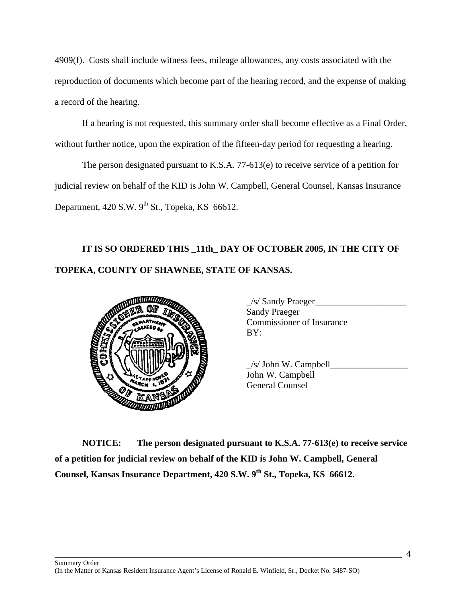4909(f). Costs shall include witness fees, mileage allowances, any costs associated with the reproduction of documents which become part of the hearing record, and the expense of making a record of the hearing.

 If a hearing is not requested, this summary order shall become effective as a Final Order, without further notice, upon the expiration of the fifteen-day period for requesting a hearing.

The person designated pursuant to K.S.A. 77-613(e) to receive service of a petition for judicial review on behalf of the KID is John W. Campbell, General Counsel, Kansas Insurance Department,  $420$  S.W.  $9^{th}$  St., Topeka, KS 66612.

# **IT IS SO ORDERED THIS \_11th\_ DAY OF OCTOBER 2005, IN THE CITY OF TOPEKA, COUNTY OF SHAWNEE, STATE OF KANSAS.**



| /s/ Sandy Praeger                |
|----------------------------------|
| <b>Sandy Praeger</b>             |
| <b>Commissioner of Insurance</b> |
| BY:                              |
|                                  |

 $\angle$ s/ John W. Campbell $\Box$ John W. Campbell General Counsel

**NOTICE: The person designated pursuant to K.S.A. 77-613(e) to receive service of a petition for judicial review on behalf of the KID is John W. Campbell, General Counsel, Kansas Insurance Department, 420 S.W. 9th St., Topeka, KS 66612.** 

\_\_\_\_\_\_\_\_\_\_\_\_\_\_\_\_\_\_\_\_\_\_\_\_\_\_\_\_\_\_\_\_\_\_\_\_\_\_\_\_\_\_\_\_\_\_\_\_\_\_\_\_\_\_\_\_\_\_\_\_\_\_\_\_\_\_\_\_\_\_\_\_\_\_\_\_